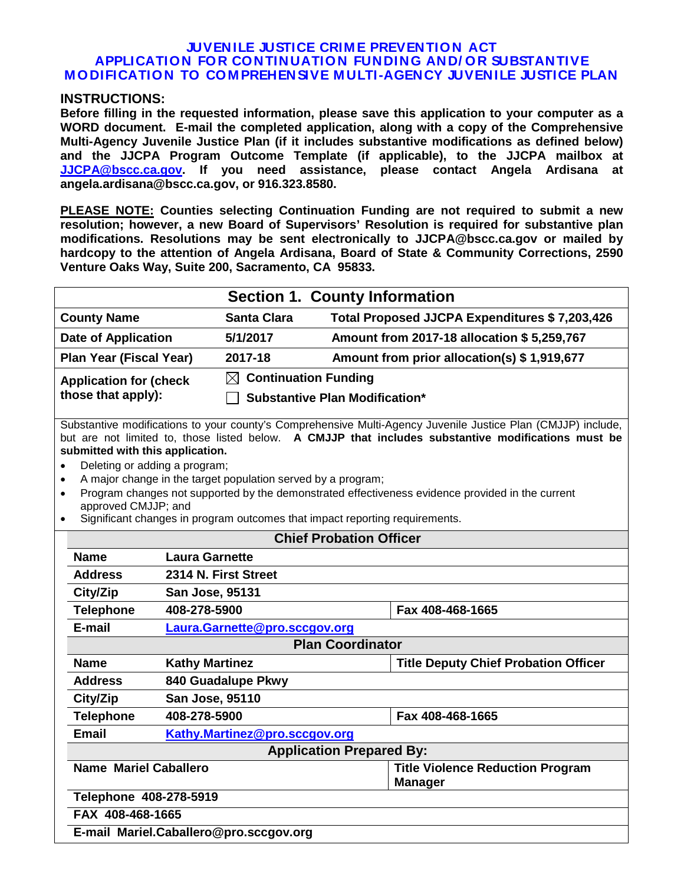#### **JUVENILE JUSTICE CRIM E PREVENTION ACT APPLICATION FOR CONTINUATION FUNDING AND/ OR SUBSTANTIVE M ODIFICATION TO COM PREHENSIVE M ULTI-AGENCY JUVENILE JUSTICE PLAN**

#### **INSTRUCTIONS:**

**Before filling in the requested information, please save this application to your computer as a WORD document. E-mail the completed application, along with a copy of the Comprehensive Multi-Agency Juvenile Justice Plan (if it includes substantive modifications as defined below) and the JJCPA Program Outcome Template (if applicable), to the JJCPA mailbox at [JJCPA@bscc.ca.gov.](mailto:JJCPA@bscc.ca.gov) If you need assistance, please contact Angela Ardisana at angela.ardisana@bscc.ca.gov, or 916.323.8580.**

**PLEASE NOTE: Counties selecting Continuation Funding are not required to submit a new resolution; however, a new Board of Supervisors' Resolution is required for substantive plan modifications. Resolutions may be sent electronically to JJCPA@bscc.ca.gov or mailed by hardcopy to the attention of Angela Ardisana, Board of State & Community Corrections, 2590 Venture Oaks Way, Suite 200, Sacramento, CA 95833.** 

|                                     | <b>Section 1. County Information</b>                                                                                                                                                                                                                                                                                                                                                                                                                                                |                                  |                                                                             |                                               |                                                           |  |
|-------------------------------------|-------------------------------------------------------------------------------------------------------------------------------------------------------------------------------------------------------------------------------------------------------------------------------------------------------------------------------------------------------------------------------------------------------------------------------------------------------------------------------------|----------------------------------|-----------------------------------------------------------------------------|-----------------------------------------------|-----------------------------------------------------------|--|
| <b>County Name</b>                  |                                                                                                                                                                                                                                                                                                                                                                                                                                                                                     |                                  | <b>Santa Clara</b>                                                          | Total Proposed JJCPA Expenditures \$7,203,426 |                                                           |  |
| <b>Date of Application</b>          |                                                                                                                                                                                                                                                                                                                                                                                                                                                                                     | 5/1/2017                         | Amount from 2017-18 allocation \$5,259,767                                  |                                               |                                                           |  |
| <b>Plan Year (Fiscal Year)</b>      |                                                                                                                                                                                                                                                                                                                                                                                                                                                                                     | 2017-18                          | Amount from prior allocation(s) \$1,919,677                                 |                                               |                                                           |  |
| <b>Application for (check</b>       |                                                                                                                                                                                                                                                                                                                                                                                                                                                                                     | $\boxtimes$ Continuation Funding |                                                                             |                                               |                                                           |  |
|                                     | those that apply):                                                                                                                                                                                                                                                                                                                                                                                                                                                                  |                                  | <b>Substantive Plan Modification*</b>                                       |                                               |                                                           |  |
| $\bullet$<br>$\bullet$<br>$\bullet$ | Substantive modifications to your county's Comprehensive Multi-Agency Juvenile Justice Plan (CMJJP) include,<br>but are not limited to, those listed below. A CMJJP that includes substantive modifications must be<br>submitted with this application.<br>Deleting or adding a program;<br>A major change in the target population served by a program;<br>Program changes not supported by the demonstrated effectiveness evidence provided in the current<br>approved CMJJP; and |                                  |                                                                             |                                               |                                                           |  |
|                                     |                                                                                                                                                                                                                                                                                                                                                                                                                                                                                     |                                  | Significant changes in program outcomes that impact reporting requirements. |                                               |                                                           |  |
|                                     | <b>Chief Probation Officer</b>                                                                                                                                                                                                                                                                                                                                                                                                                                                      |                                  |                                                                             |                                               |                                                           |  |
|                                     | <b>Name</b><br><b>Laura Garnette</b>                                                                                                                                                                                                                                                                                                                                                                                                                                                |                                  |                                                                             |                                               |                                                           |  |
|                                     | <b>Address</b>                                                                                                                                                                                                                                                                                                                                                                                                                                                                      | 2314 N. First Street             |                                                                             |                                               |                                                           |  |
|                                     | City/Zip                                                                                                                                                                                                                                                                                                                                                                                                                                                                            |                                  | San Jose, 95131                                                             |                                               |                                                           |  |
|                                     | <b>Telephone</b>                                                                                                                                                                                                                                                                                                                                                                                                                                                                    | 408-278-5900                     |                                                                             |                                               | Fax 408-468-1665                                          |  |
|                                     | E-mail                                                                                                                                                                                                                                                                                                                                                                                                                                                                              |                                  | Laura.Garnette@pro.sccgov.org                                               |                                               |                                                           |  |
|                                     | <b>Plan Coordinator</b>                                                                                                                                                                                                                                                                                                                                                                                                                                                             |                                  |                                                                             |                                               |                                                           |  |
|                                     | Name                                                                                                                                                                                                                                                                                                                                                                                                                                                                                | <b>Kathy Martinez</b>            |                                                                             |                                               | <b>Title Deputy Chief Probation Officer</b>               |  |
|                                     | <b>Address</b>                                                                                                                                                                                                                                                                                                                                                                                                                                                                      | 840 Guadalupe Pkwy               |                                                                             |                                               |                                                           |  |
|                                     | City/Zip                                                                                                                                                                                                                                                                                                                                                                                                                                                                            | San Jose, 95110                  |                                                                             |                                               |                                                           |  |
|                                     | <b>Telephone</b>                                                                                                                                                                                                                                                                                                                                                                                                                                                                    | 408-278-5900                     |                                                                             |                                               | Fax 408-468-1665                                          |  |
|                                     | <b>Email</b>                                                                                                                                                                                                                                                                                                                                                                                                                                                                        |                                  | Kathy.Martinez@pro.sccgov.org                                               |                                               |                                                           |  |
|                                     | <b>Application Prepared By:</b>                                                                                                                                                                                                                                                                                                                                                                                                                                                     |                                  |                                                                             |                                               |                                                           |  |
|                                     | <b>Name Mariel Caballero</b>                                                                                                                                                                                                                                                                                                                                                                                                                                                        |                                  |                                                                             |                                               | <b>Title Violence Reduction Program</b><br><b>Manager</b> |  |
|                                     | Telephone 408-278-5919                                                                                                                                                                                                                                                                                                                                                                                                                                                              |                                  |                                                                             |                                               |                                                           |  |
|                                     | FAX 408-468-1665                                                                                                                                                                                                                                                                                                                                                                                                                                                                    |                                  |                                                                             |                                               |                                                           |  |
|                                     | E-mail Mariel.Caballero@pro.sccgov.org                                                                                                                                                                                                                                                                                                                                                                                                                                              |                                  |                                                                             |                                               |                                                           |  |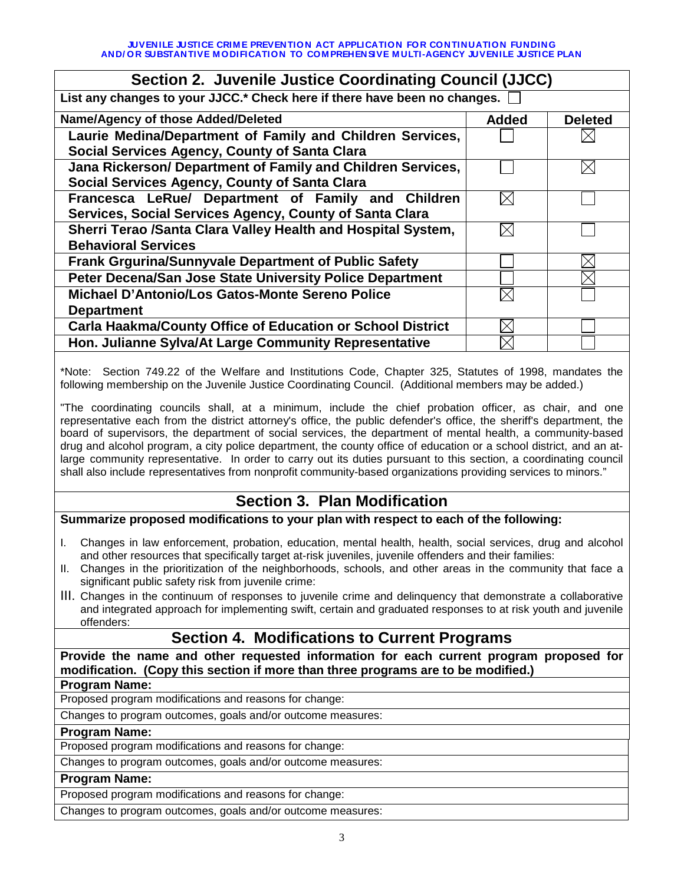| Section 2. Juvenile Justice Coordinating Council (JJCC)                   |              |                |  |
|---------------------------------------------------------------------------|--------------|----------------|--|
| List any changes to your JJCC.* Check here if there have been no changes. |              |                |  |
| Name/Agency of those Added/Deleted                                        | <b>Added</b> | <b>Deleted</b> |  |
| Laurie Medina/Department of Family and Children Services,                 |              |                |  |
| <b>Social Services Agency, County of Santa Clara</b>                      |              |                |  |
| Jana Rickerson/ Department of Family and Children Services,               |              |                |  |
| <b>Social Services Agency, County of Santa Clara</b>                      |              |                |  |
| Francesca LeRue/ Department of Family and Children                        | $\times$     |                |  |
| Services, Social Services Agency, County of Santa Clara                   |              |                |  |
| Sherri Terao /Santa Clara Valley Health and Hospital System,              | $\times$     |                |  |
| <b>Behavioral Services</b>                                                |              |                |  |
| <b>Frank Grgurina/Sunnyvale Department of Public Safety</b>               |              |                |  |
| Peter Decena/San Jose State University Police Department                  |              |                |  |
| Michael D'Antonio/Los Gatos-Monte Sereno Police                           |              |                |  |
| <b>Department</b>                                                         |              |                |  |
| <b>Carla Haakma/County Office of Education or School District</b>         |              |                |  |
| Hon. Julianne Sylva/At Large Community Representative                     |              |                |  |
|                                                                           |              |                |  |

\*Note: Section 749.22 of the Welfare and Institutions Code, Chapter 325, Statutes of 1998, mandates the following membership on the Juvenile Justice Coordinating Council. (Additional members may be added.)

"The coordinating councils shall, at a minimum, include the chief probation officer, as chair, and one representative each from the district attorney's office, the public defender's office, the sheriff's department, the board of supervisors, the department of social services, the department of mental health, a community-based drug and alcohol program, a city police department, the county office of education or a school district, and an atlarge community representative. In order to carry out its duties pursuant to this section, a coordinating council shall also include representatives from nonprofit community-based organizations providing services to minors."

# **Section 3. Plan Modification**

### **Summarize proposed modifications to your plan with respect to each of the following:**

- I. Changes in law enforcement, probation, education, mental health, health, social services, drug and alcohol and other resources that specifically target at-risk juveniles, juvenile offenders and their families:
- II. Changes in the prioritization of the neighborhoods, schools, and other areas in the community that face a significant public safety risk from juvenile crime:
- III. Changes in the continuum of responses to juvenile crime and delinquency that demonstrate a collaborative and integrated approach for implementing swift, certain and graduated responses to at risk youth and juvenile offenders:

## **Section 4. Modifications to Current Programs**

**Provide the name and other requested information for each current program proposed for modification. (Copy this section if more than three programs are to be modified.)**

### **Program Name:**

Proposed program modifications and reasons for change:

Changes to program outcomes, goals and/or outcome measures:

#### **Program Name:**

Proposed program modifications and reasons for change:

Changes to program outcomes, goals and/or outcome measures:

#### **Program Name:**

Proposed program modifications and reasons for change:

Changes to program outcomes, goals and/or outcome measures: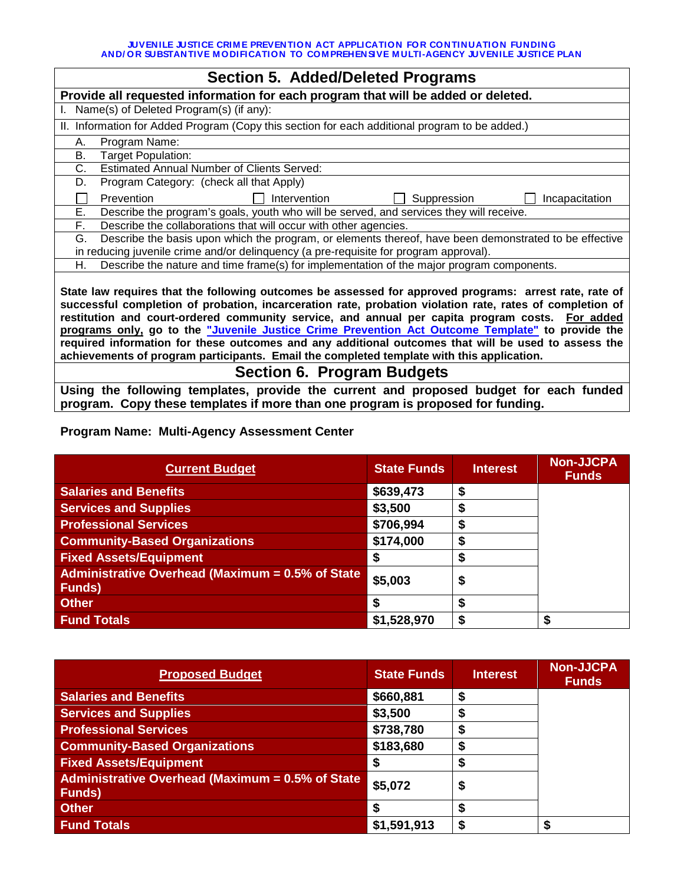**JUVENILE JUSTICE CRIM E PREVENTION ACT APPLICATION FOR CONTINUATION FUNDING AND/ OR SUBSTANTIVE M ODIFICATION TO COM PREHENSIVE M ULTI-AGENCY JUVENILE JUSTICE PLAN**

| <b>Section 5. Added/Deleted Programs</b>                                                                                                                                                                                                                                                                                                                                                                                                                                                                                                                                                                                      |  |  |  |  |  |  |
|-------------------------------------------------------------------------------------------------------------------------------------------------------------------------------------------------------------------------------------------------------------------------------------------------------------------------------------------------------------------------------------------------------------------------------------------------------------------------------------------------------------------------------------------------------------------------------------------------------------------------------|--|--|--|--|--|--|
| Provide all requested information for each program that will be added or deleted.                                                                                                                                                                                                                                                                                                                                                                                                                                                                                                                                             |  |  |  |  |  |  |
| Name(s) of Deleted Program(s) (if any):                                                                                                                                                                                                                                                                                                                                                                                                                                                                                                                                                                                       |  |  |  |  |  |  |
| II. Information for Added Program (Copy this section for each additional program to be added.)                                                                                                                                                                                                                                                                                                                                                                                                                                                                                                                                |  |  |  |  |  |  |
| Program Name:<br>А.                                                                                                                                                                                                                                                                                                                                                                                                                                                                                                                                                                                                           |  |  |  |  |  |  |
| В.<br>Target Population:                                                                                                                                                                                                                                                                                                                                                                                                                                                                                                                                                                                                      |  |  |  |  |  |  |
| <b>Estimated Annual Number of Clients Served:</b><br>C.                                                                                                                                                                                                                                                                                                                                                                                                                                                                                                                                                                       |  |  |  |  |  |  |
| Program Category: (check all that Apply)<br>D.                                                                                                                                                                                                                                                                                                                                                                                                                                                                                                                                                                                |  |  |  |  |  |  |
| Intervention<br>Suppression<br>Prevention<br>Incapacitation                                                                                                                                                                                                                                                                                                                                                                                                                                                                                                                                                                   |  |  |  |  |  |  |
| Е.<br>Describe the program's goals, youth who will be served, and services they will receive.                                                                                                                                                                                                                                                                                                                                                                                                                                                                                                                                 |  |  |  |  |  |  |
| F.<br>Describe the collaborations that will occur with other agencies.                                                                                                                                                                                                                                                                                                                                                                                                                                                                                                                                                        |  |  |  |  |  |  |
| Describe the basis upon which the program, or elements thereof, have been demonstrated to be effective<br>G.                                                                                                                                                                                                                                                                                                                                                                                                                                                                                                                  |  |  |  |  |  |  |
| in reducing juvenile crime and/or delinquency (a pre-requisite for program approval).                                                                                                                                                                                                                                                                                                                                                                                                                                                                                                                                         |  |  |  |  |  |  |
| Describe the nature and time frame(s) for implementation of the major program components.<br>Н.                                                                                                                                                                                                                                                                                                                                                                                                                                                                                                                               |  |  |  |  |  |  |
| State law requires that the following outcomes be assessed for approved programs: arrest rate, rate of<br>successful completion of probation, incarceration rate, probation violation rate, rates of completion of<br>restitution and court-ordered community service, and annual per capita program costs. For added<br>programs only, go to the "Juvenile Justice Crime Prevention Act Outcome Template" to provide the<br>required information for these outcomes and any additional outcomes that will be used to assess the<br>achievements of program participants. Email the completed template with this application. |  |  |  |  |  |  |
| <b>Section 6. Program Budgets</b>                                                                                                                                                                                                                                                                                                                                                                                                                                                                                                                                                                                             |  |  |  |  |  |  |

**Using the following templates, provide the current and proposed budget for each funded program. Copy these templates if more than one program is proposed for funding.** 

### **Program Name: Multi-Agency Assessment Center**

| <b>Current Budget</b>                                              | <b>State Funds</b> | <b>Interest</b> | <b>Non-JJCPA</b><br><b>Funds</b> |
|--------------------------------------------------------------------|--------------------|-----------------|----------------------------------|
| <b>Salaries and Benefits</b>                                       | \$639,473          | S               |                                  |
| <b>Services and Supplies</b>                                       | \$3,500            |                 |                                  |
| <b>Professional Services</b>                                       | \$706,994          | œ               |                                  |
| <b>Community-Based Organizations</b>                               | \$174,000          | æ               |                                  |
| <b>Fixed Assets/Equipment</b>                                      |                    |                 |                                  |
| Administrative Overhead (Maximum = 0.5% of State<br><b>Funds</b> ) | \$5,003            | C               |                                  |
| <b>Other</b>                                                       |                    | S               |                                  |
| <b>Fund Totals</b>                                                 | \$1,528,970        | S               | S                                |

| <b>Proposed Budget</b>                                             | <b>State Funds</b> | <b>Interest</b> | <b>Non-JJCPA</b><br><b>Funds</b> |
|--------------------------------------------------------------------|--------------------|-----------------|----------------------------------|
| <b>Salaries and Benefits</b>                                       | \$660,881          | S               |                                  |
| <b>Services and Supplies</b>                                       | \$3,500            |                 |                                  |
| <b>Professional Services</b>                                       | \$738,780          |                 |                                  |
| <b>Community-Based Organizations</b>                               | \$183,680          |                 |                                  |
| <b>Fixed Assets/Equipment</b>                                      | S                  |                 |                                  |
| Administrative Overhead (Maximum = 0.5% of State<br><b>Funds</b> ) | \$5,072            | \$              |                                  |
| <b>Other</b>                                                       | S                  |                 |                                  |
| <b>Fund Totals</b>                                                 | \$1,591,913        |                 | S                                |